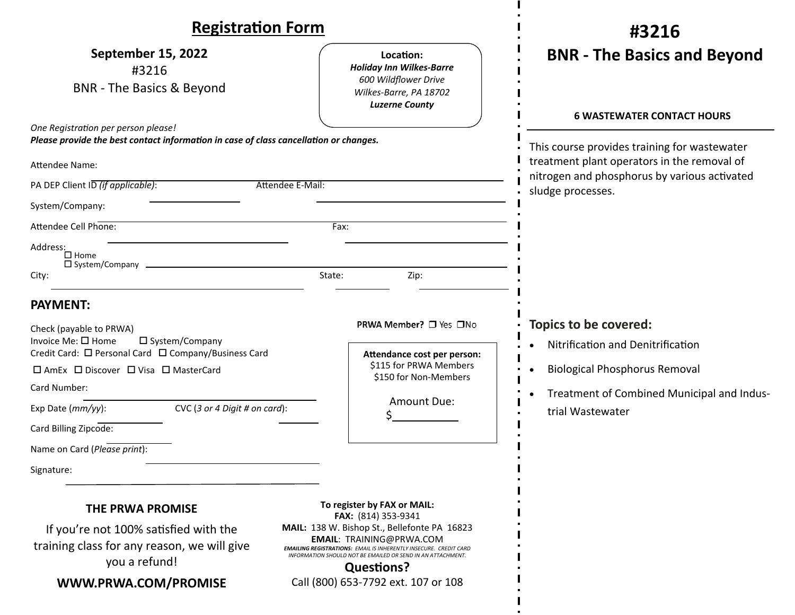| <b>Registration Form</b>                                                                              |        |                                                                                                                                                                                                                                                 | #3216                                                                                                            |
|-------------------------------------------------------------------------------------------------------|--------|-------------------------------------------------------------------------------------------------------------------------------------------------------------------------------------------------------------------------------------------------|------------------------------------------------------------------------------------------------------------------|
| <b>September 15, 2022</b><br>#3216<br><b>BNR</b> - The Basics & Beyond                                |        | Location:<br><b>Holiday Inn Wilkes-Barre</b><br>600 Wildflower Drive<br>Wilkes-Barre, PA 18702<br><b>Luzerne County</b>                                                                                                                         | <b>BNR - The Basics and Beyond</b>                                                                               |
| One Registration per person please!                                                                   |        |                                                                                                                                                                                                                                                 | <b>6 WASTEWATER CONTACT HOURS</b>                                                                                |
| Please provide the best contact information in case of class cancellation or changes.                 |        |                                                                                                                                                                                                                                                 | This course provides training for wastewater                                                                     |
| <b>Attendee Name:</b>                                                                                 |        |                                                                                                                                                                                                                                                 | treatment plant operators in the removal of<br>nitrogen and phosphorus by various activated<br>sludge processes. |
| PA DEP Client ID (if applicable):<br>Attendee E-Mail:                                                 |        |                                                                                                                                                                                                                                                 |                                                                                                                  |
| System/Company:                                                                                       |        |                                                                                                                                                                                                                                                 |                                                                                                                  |
| Attendee Cell Phone:                                                                                  | Fax:   |                                                                                                                                                                                                                                                 |                                                                                                                  |
| Address:<br>$\square$ Home<br>$\square$ System/Company                                                |        |                                                                                                                                                                                                                                                 |                                                                                                                  |
| City:                                                                                                 | State: | Zip:                                                                                                                                                                                                                                            |                                                                                                                  |
| <b>PAYMENT:</b>                                                                                       |        |                                                                                                                                                                                                                                                 |                                                                                                                  |
| Check (payable to PRWA)<br>Invoice Me: □ Home<br>□ System/Company                                     |        | PRWA Member? □ Yes □No                                                                                                                                                                                                                          | <b>Topics to be covered:</b><br>Nitrification and Denitrification                                                |
| Credit Card: □ Personal Card □ Company/Business Card<br>□ AmEx □ Discover □ Visa □ MasterCard         |        | Attendance cost per person:<br>\$115 for PRWA Members<br>\$150 for Non-Members                                                                                                                                                                  |                                                                                                                  |
|                                                                                                       |        |                                                                                                                                                                                                                                                 | <b>Biological Phosphorus Removal</b>                                                                             |
| Card Number:                                                                                          |        | Amount Due:                                                                                                                                                                                                                                     | Treatment of Combined Municipal and Indus-                                                                       |
| Exp Date (mm/yy):<br>CVC (3 or 4 Digit # on card):                                                    |        |                                                                                                                                                                                                                                                 | trial Wastewater                                                                                                 |
| Card Billing Zipcode:                                                                                 |        |                                                                                                                                                                                                                                                 |                                                                                                                  |
| Name on Card (Please print):                                                                          |        |                                                                                                                                                                                                                                                 |                                                                                                                  |
| Signature:                                                                                            |        |                                                                                                                                                                                                                                                 |                                                                                                                  |
| <b>THE PRWA PROMISE</b>                                                                               |        | To register by FAX or MAIL:<br>FAX: (814) 353-9341                                                                                                                                                                                              |                                                                                                                  |
| If you're not 100% satisfied with the<br>training class for any reason, we will give<br>you a refund! |        | MAIL: 138 W. Bishop St., Bellefonte PA 16823<br><b>EMAIL: TRAINING@PRWA.COM</b><br><b>EMAILING REGISTRATIONS: EMAIL IS INHERENTLY INSECURE. CREDIT CARD</b><br>INFORMATION SHOULD NOT BE EMAILED OR SEND IN AN ATTACHMENT.<br><b>Questions?</b> |                                                                                                                  |
| WWW.PRWA.COM/PROMISE                                                                                  |        | Call (800) 653-7792 ext. 107 or 108                                                                                                                                                                                                             |                                                                                                                  |